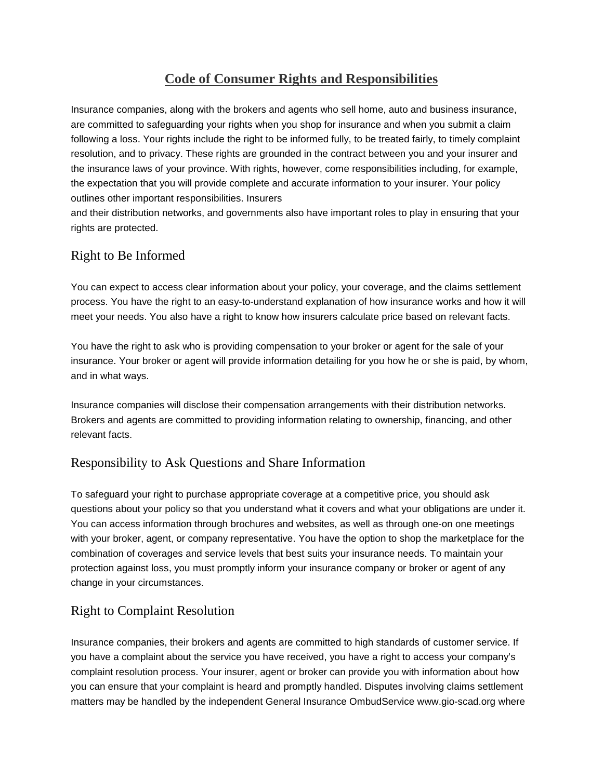## **Code of Consumer Rights and Responsibilities**

Insurance companies, along with the brokers and agents who sell home, auto and business insurance, are committed to safeguarding your rights when you shop for insurance and when you submit a claim following a loss. Your rights include the right to be informed fully, to be treated fairly, to timely complaint resolution, and to privacy. These rights are grounded in the contract between you and your insurer and the insurance laws of your province. With rights, however, come responsibilities including, for example, the expectation that you will provide complete and accurate information to your insurer. Your policy outlines other important responsibilities. Insurers

and their distribution networks, and governments also have important roles to play in ensuring that your rights are protected.

## Right to Be Informed

You can expect to access clear information about your policy, your coverage, and the claims settlement process. You have the right to an easy-to-understand explanation of how insurance works and how it will meet your needs. You also have a right to know how insurers calculate price based on relevant facts.

You have the right to ask who is providing compensation to your broker or agent for the sale of your insurance. Your broker or agent will provide information detailing for you how he or she is paid, by whom, and in what ways.

Insurance companies will disclose their compensation arrangements with their distribution networks. Brokers and agents are committed to providing information relating to ownership, financing, and other relevant facts.

## Responsibility to Ask Questions and Share Information

To safeguard your right to purchase appropriate coverage at a competitive price, you should ask questions about your policy so that you understand what it covers and what your obligations are under it. You can access information through brochures and websites, as well as through one-on one meetings with your broker, agent, or company representative. You have the option to shop the marketplace for the combination of coverages and service levels that best suits your insurance needs. To maintain your protection against loss, you must promptly inform your insurance company or broker or agent of any change in your circumstances.

## Right to Complaint Resolution

Insurance companies, their brokers and agents are committed to high standards of customer service. If you have a complaint about the service you have received, you have a right to access your company's complaint resolution process. Your insurer, agent or broker can provide you with information about how you can ensure that your complaint is heard and promptly handled. Disputes involving claims settlement matters may be handled by the independent General Insurance OmbudService www.gio-scad.org where